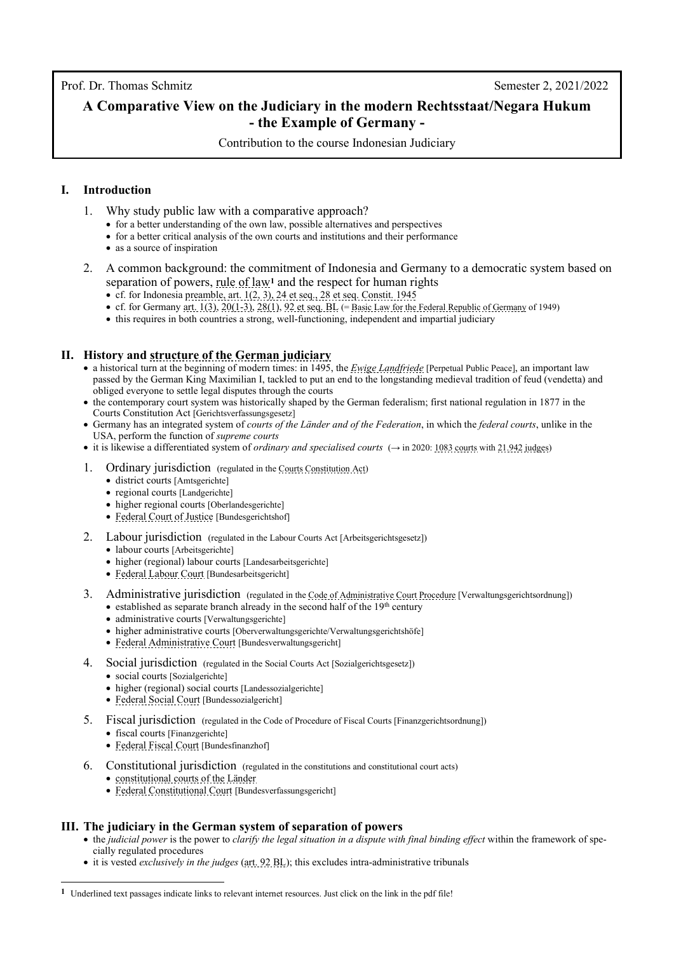Prof. Dr. Thomas Schmitz Semester 2, 2021/2022

# **A Comparative View on the Judiciary in the modern Rechtsstaat/Negara Hukum - the Example of Germany -**

Contribution to the course Indonesian Judiciary

# **I. Introduction**

- 1. Why study public law with a comparative approach?
	- for a better understanding of the own law, possible alternatives and perspectives
	- for a better critical analysis of the own courts and institutions and their performance
	- as a source of inspiration
- 2. A common background: the commitment of Indonesia and Germany to a democratic system based on separation of powers[, rule of law](http://www.thomas-schmitz-yogyakarta.id/Downloads/Schmitz_Underestimated-rule-of-law_UNDIP2022.pdf)**[1](#page-0-0)** and the respect for human rights
	- cf. for Indonesi[a preamble, art. 1\(2, 3\), 24 et seq., 28 et seq. Constit. 1945](https://www.dpr.go.id/jdih/uu1945)
	- cf. for Germany [art. 1\(3\),](https://www.gesetze-im-internet.de/englisch_gg/englisch_gg.html#p0019) [20\(1-3\),](https://www.gesetze-im-internet.de/englisch_gg/englisch_gg.html#p0111) [28\(1\),](https://www.gesetze-im-internet.de/englisch_gg/englisch_gg.html#p0148) [92 et seq. BL](https://www.gesetze-im-internet.de/englisch_gg/englisch_gg.html#p0516) ([= Basic Law for the Federal Republic of Germany](https://www.gesetze-im-internet.de/englisch_gg/index.html) of 1949)
	- this requires in both countries a strong, well-functioning, independent and impartial judiciary

# **II. History and [structure of the German judiciary](https://rm.coe.int/court-system-in-germany-constitutional-court-bundesverfassungsgericht-/168078f809)**

- a historical turn at the beginning of modern times: in 1495, the *[Ewige Landfriede](https://en.wikipedia.org/wiki/Ewiger_Landfriede)* [Perpetual Public Peace], an important law passed by the German King Maximilian I, tackled to put an end to the longstanding medieval tradition of feud (vendetta) and obliged everyone to settle legal disputes through the courts
- the contemporary court system was historically shaped by the German federalism; first national regulation in 1877 in the Courts Constitution Act [Gerichtsverfassungsgesetz]
- Germany has an integrated system of *courts of the Länder and of the Federation*, in which the *federal courts*, unlike in the USA, perform the function of *supreme courts*
- it is likewise a differentiated system of *ordinary and specialised courts* (→ in 2020: [1083 courts](https://www.bmj.de/SharedDocs/Downloads/DE/PDF/Anzahl_der_Gerichte_des_Bundes_und_der_Laender.pdf;jsessionid=4CAD19679ADA3F04BAE39A1C64D41416.2_cid334?__blob=publicationFile&v=3) wit[h 21.942 judges\)](https://www.bundesjustizamt.de/DE/SharedDocs/Publikationen/Justizstatistik/Richterstatistik_2020.pdf;jsessionid=2C45B7D4C7DBCEB300804C015EBE7563.1_cid500?__blob=publicationFile&v=3)
- 1. Ordinary jurisdiction (regulated in th[e Courts Constitution Act\)](https://www.gesetze-im-internet.de/englisch_gvg/englisch_gvg.html#p0014)
	- district courts [Amtsgerichte]
	- regional courts [Landgerichte]
	- higher regional courts [Oberlandesgerichte]
	- [Federal Court of Justice](https://www.bundesgerichtshof.de/EN/Home/homeBGH_node.html) [Bundesgerichtshof]
- 2. Labour jurisdiction (regulated in the Labour Courts Act [Arbeitsgerichtsgesetz])
	- labour courts [Arbeitsgerichte]
	- higher (regional) labour courts [Landesarbeitsgerichte]
	- [Federal Labour Court](https://www.bundesarbeitsgericht.de/en/responsibilities/) [Bundesarbeitsgericht]
- 3. Administrative jurisdiction (regulated in th[e Code of Administrative Court Procedure](https://www.gesetze-im-internet.de/englisch_vwgo/index.html) [Verwaltungsgerichtsordnung])
	- established as separate branch already in the second half of the  $19<sup>th</sup>$  century
	- administrative courts [Verwaltungsgerichte]
	- higher administrative courts [Oberverwaltungsgerichte/Verwaltungsgerichtshöfe]
	- [Federal Administrative Court](https://www.bverwg.de/en) [Bundesverwaltungsgericht]
- 4. Social jurisdiction (regulated in the Social Courts Act [Sozialgerichtsgesetz])
	- social courts [Sozialgerichte]
	- higher (regional) social courts [Landessozialgerichte]
	- [Federal Social Court](https://www.bsg.bund.de/EN/Home/home_node.html) [Bundessozialgericht]
- 5. Fiscal jurisdiction (regulated in the Code of Procedure of Fiscal Courts [Finanzgerichtsordnung])
	- fiscal courts [Finanzgerichte]
	- [Federal Fiscal Court](https://www.bundesfinanzhof.de/en/) [Bundesfinanzhof]
- 6. Constitutional jurisdiction (regulated in the constitutions and constitutional court acts)
	- [constitutional courts of the Länder](https://www.bundesverfassungsgericht.de/DE/Das-Gericht/Internationale-Perspektiven/internationale-perspektiven-linkliste.html)
	- [Federal Constitutional Court](https://www.bundesverfassungsgericht.de/EN/Das-Gericht/das-gericht_node.html;jsessionid=3D7DB18A305330F65945272916BD5B02.1_cid506) [Bundesverfassungsgericht]

# **III. The judiciary in the German system of separation of powers**

- the *judicial power* is the power to *clarify the legal situation in a dispute with final binding effect* within the framework of specially regulated procedures
- it is vested *exclusively in the judges* [\(art. 92 BL\)](https://www.gesetze-im-internet.de/englisch_gg/englisch_gg.html#p0517); this excludes intra-administrative tribunals

<span id="page-0-0"></span>**<sup>1</sup>** Underlined text passages indicate links to relevant internet resources. Just click on the link in the pdf file!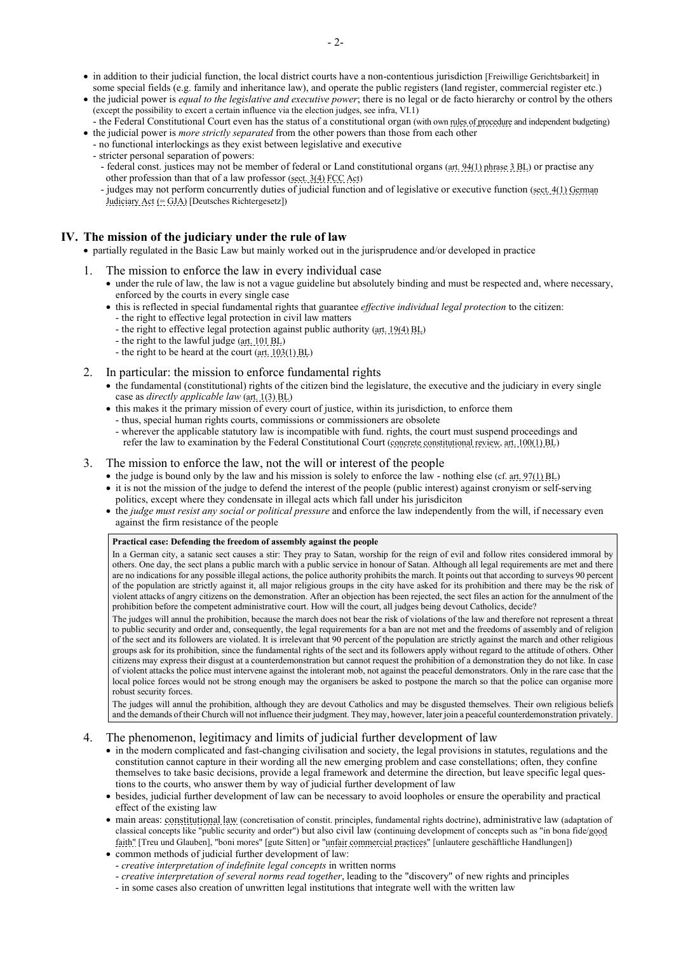- in addition to their judicial function, the local district courts have a non-contentious jurisdiction [Freiwillige Gerichtsbarkeit] in some special fields (e.g. family and inheritance law), and operate the public registers (land register, commercial register etc.)
- the judicial power is *equal to the legislative and executive power*; there is no legal or de facto hierarchy or control by the others (except the possibility to excert a certain influence via the election judges, see infra, VI.1)
- the [Federal Constitutional Court](https://www.bundesverfassungsgericht.de/EN/Das-Gericht/das-gericht_node.html;jsessionid=3D7DB18A305330F65945272916BD5B02.1_cid506) even has the status of a constitutional organ (with ow[n rules of procedure](http://www.gesetze-im-internet.de/englisch_bverfggo/) and independent budgeting) • the judicial power is *more strictly separated* from the other powers than those from each other
	- no functional interlockings as they exist between legislative and executive
	- stricter personal separation of powers:
		- federal const. justices may not be member of federal or Land constitutional organs [\(art. 94\(1\) phrase](https://www.gesetze-im-internet.de/englisch_gg/englisch_gg.html#p0532) 3 BL) or practise any other profession than that of a law professor [\(sect. 3\(4\) FCC Act\)](https://www.gesetze-im-internet.de/englisch_bverfgg/englisch_bverfgg.html#p0022)
	- judges may not perform concurrently duties of judicial function and of legislative or executive function [\(sect. 4\(1\) German](https://www.gesetze-im-internet.de/englisch_drig/englisch_drig.html#p0020)   [Judiciary Act](https://www.gesetze-im-internet.de/englisch_drig/englisch_drig.html#p0020) (= GJA) [Deutsches Richtergesetz])

### **IV. The mission of the judiciary under the rule of law**

- partially regulated in the Basic Law but mainly worked out in the jurisprudence and/or developed in practice
- 1. The mission to enforce the law in every individual case
	- under the rule of law, the law is not a vague guideline but absolutely binding and must be respected and, where necessary, enforced by the courts in every single case
	- this is reflected in special fundamental rights that guarantee *effective individual legal protection* to the citizen: - the right to effective legal protection in civil law matters
		- the right to effective legal protection against public authority [\(art. 19\(4\) BL\)](https://www.gesetze-im-internet.de/englisch_gg/englisch_gg.html#p0105)
		- the right to the lawful judge [\(art. 101 BL\)](https://www.gesetze-im-internet.de/englisch_gg/englisch_gg.html#p0565)
		- the right to be heard at the court [\(art. 103\(1\) BL\)](https://www.gesetze-im-internet.de/englisch_gg/englisch_gg.html#p0570)
- 2. In particular: the mission to enforce fundamental rights
	- the fundamental (constitutional) rights of the citizen bind the legislature, the executive and the judiciary in every single case as *directly applicable law* [\(art. 1\(3\) BL\)](https://www.gesetze-im-internet.de/englisch_gg/englisch_gg.html#p0019)
	- this makes it the primary mission of every court of justice, within its jurisdiction, to enforce them
	- thus, special human rights courts, commissions or commissioners are obsolete
	- wherever the applicable statutory law is incompatible with fund. rights, the court must suspend proceedings and refer the law to examination by the Federal Constitutional Court [\(concrete constitutional review,](https://www.bundesverfassungsgericht.de/EN/Verfahren/Wichtige-Verfahrensarten/Konkrete-Normenkontrolle/konkrete-normenkontrolle_node.html) [art. 100\(1\) BL\)](https://www.gesetze-im-internet.de/englisch_gg/englisch_gg.html#p0561)

### 3. The mission to enforce the law, not the will or interest of the people

- the judge is bound only by the law and his mission is solely to enforce the law nothing else (cf[. art. 97\(1\) BL\)](https://www.gesetze-im-internet.de/englisch_gg/englisch_gg.html#p0550)
- it is not the mission of the judge to defend the interest of the people (public interest) against cronyism or self-serving politics, except where they condensate in illegal acts which fall under his jurisdiciton
- the *judge must resist any social or political pressure* and enforce the law independently from the will, if necessary even against the firm resistance of the people

#### **Practical case: Defending the freedom of assembly against the people**

In a German city, a satanic sect causes a stir: They pray to Satan, worship for the reign of evil and follow rites considered immoral by others. One day, the sect plans a public march with a public service in honour of Satan. Although all legal requirements are met and there are no indications for any possible illegal actions, the police authority prohibits the march. It points out that according to surveys 90 percent of the population are strictly against it, all major religious groups in the city have asked for its prohibition and there may be the risk of violent attacks of angry citizens on the demonstration. After an objection has been rejected, the sect files an action for the annulment of the prohibition before the competent administrative court. How will the court, all judges being devout Catholics, decide?

The judges will annul the prohibition, because the march does not bear the risk of violations of the law and therefore not represent a threat to public security and order and, consequently, the legal requirements for a ban are not met and the freedoms of assembly and of religion of the sect and its followers are violated. It is irrelevant that 90 percent of the population are strictly against the march and other religious groups ask for its prohibition, since the fundamental rights of the sect and its followers apply without regard to the attitude of others. Other citizens may express their disgust at a counterdemonstration but cannot request the prohibition of a demonstration they do not like. In case of violent attacks the police must intervene against the intolerant mob, not against the peaceful demonstrators. Only in the rare case that the local police forces would not be strong enough may the organisers be asked to postpone the march so that the police can organise more robust security forces.

The judges will annul the prohibition, although they are devout Catholics and may be disgusted themselves. Their own religious beliefs and the demands of their Church will not influence their judgment. They may, however, later join a peaceful counterdemonstration privately.

#### 4. The phenomenon, legitimacy and limits of judicial further development of law

- in the modern complicated and fast-changing civilisation and society, the legal provisions in statutes, regulations and the constitution cannot capture in their wording all the new emerging problem and case constellations; often, they confine themselves to take basic decisions, provide a legal framework and determine the direction, but leave specific legal questions to the courts, who answer them by way of judicial further development of law
- besides, judicial further development of law can be necessary to avoid loopholes or ensure the operability and practical effect of the existing law
- main areas[: constitutional law](http://www.thomas-schmitz-yogyakarta.id/Downloads/Schmitz_ConstDevel_slide1.pdf) (concretisation of constit. principles, fundamental rights doctrine), administrative law (adaptation of classical concepts like "public security and order") but also civil law (continuing development of concepts such as "in bona fid[e/good](https://www.gesetze-im-internet.de/englisch_bgb/englisch_bgb.html#p0731)  [faith"](https://www.gesetze-im-internet.de/englisch_bgb/englisch_bgb.html#p0731) [Treu und Glauben], "boni mores" [gute Sitten] or ["unfair commercial practices"](https://www.gesetze-im-internet.de/englisch_uwg/englisch_uwg.html#p0029) [unlautere geschäftliche Handlungen])
- common methods of judicial further development of law:
- *creative interpretation of indefinite legal concepts* in written norms
- *creative interpretation of several norms read together*, leading to the "discovery" of new rights and principles
- in some cases also creation of unwritten legal institutions that integrate well with the written law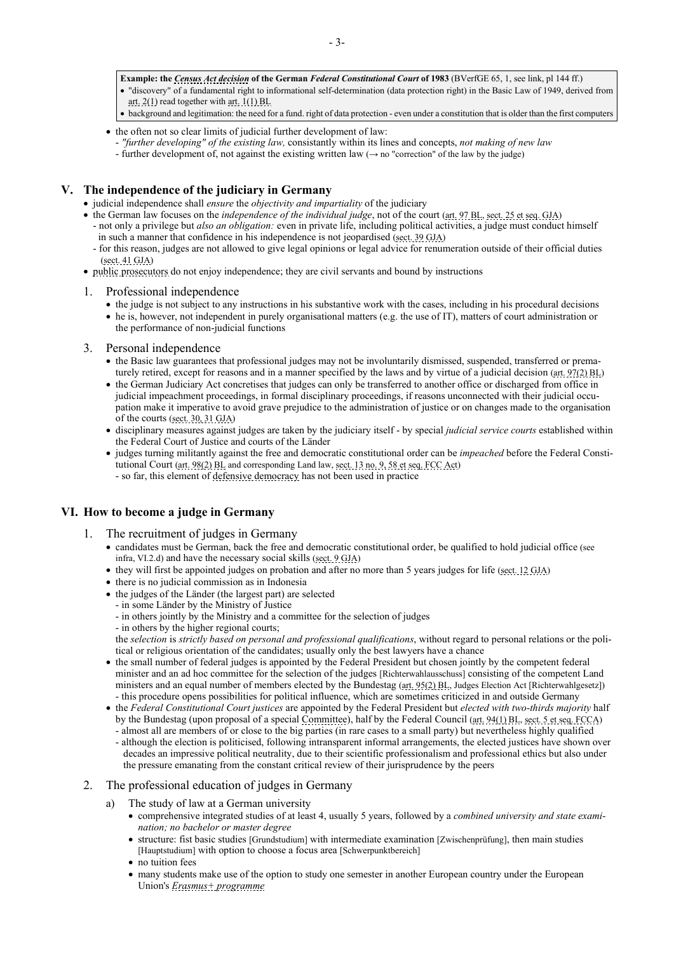- **Example: the** *[Census Act decision](http://www.kas.de/wf/doc/26197-1442-1-30.pdf)* **of the German** *Federal Constitutional Court* **of 1983** (BVerfGE 65, 1, see link, pl 144 ff.)
- "discovery" of a fundamental right to informational self-determination (data protection right) in the Basic Law of 1949, derived from
- [art. 2\(1\)](https://www.gesetze-im-internet.de/englisch_gg/englisch_gg.html#p0023) read together wit[h art. 1\(1\) BL](https://www.gesetze-im-internet.de/englisch_gg/englisch_gg.html#p0019)
- background and legitimation: the need for a fund. right of data protection even under a constitution that is older than the first computers
- the often not so clear limits of judicial further development of law:
- *"further developing" of the existing law,* consistantly within its lines and concepts, *not making of new law*
- further development of, not against the existing written law ( $\rightarrow$  no "correction" of the law by the judge)

# **V. The independence of the judiciary in Germany**

- judicial independence shall *ensure* the *objectivity and impartiality* of the judiciary
- the German law focuses on the *independence of the individual judge*, not of the court [\(art. 97 BL,](https://www.gesetze-im-internet.de/englisch_gg/englisch_gg.html#p0550) [sect. 25 et seq. GJA\)](https://www.gesetze-im-internet.de/englisch_drig/englisch_drig.html#p0161)
	- not only a privilege but *also an obligation:* even in private life, including political activities, a judge must conduct himself in such a manner that confidence in his independence is not jeopardised [\(sect. 39 GJA\)](https://www.gesetze-im-internet.de/englisch_drig/englisch_drig.html#p0215)
	- for this reason, judges are not allowed to give legal opinions or legal advice for renumeration outside of their official duties [\(sect. 41 GJA\)](https://www.gesetze-im-internet.de/englisch_drig/englisch_drig.html#p0220)
- [public prosecutors](https://www.jstor.org/stable/44026529) do not enjoy independence; they are civil servants and bound by instructions

### 1. Professional independence

- the judge is not subject to any instructions in his substantive work with the cases, including in his procedural decisions
- he is, however, not independent in purely organisational matters (e.g. the use of IT), matters of court administration or the performance of non-judicial functions
- 3. Personal independence
	- the Basic law guarantees that professional judges may not be involuntarily dismissed, suspended, transferred or prematurely retired, except for reasons and in a manner specified by the laws and by virtue of a judicial decision (art.  $97(2)$  BL)
	- the German Judiciary Act concretises that judges can only be transferred to another office or discharged from office in judicial impeachment proceedings, in formal disciplinary proceedings, if reasons unconnected with their judicial occupation make it imperative to avoid grave prejudice to the administration of justice or on changes made to the organisation of the courts [\(sect. 30, 31](https://www.gesetze-im-internet.de/englisch_drig/englisch_drig.html#p0177) GJA)
	- disciplinary measures against judges are taken by the judiciary itself by special *judicial service courts* established within the Federal Court of Justice and courts of the Länder
	- judges turning militantly against the free and democratic constitutional order can be *impeached* before the Federal Constitutional Court [\(art. 98\(2\) BL](https://www.gesetze-im-internet.de/englisch_gg/englisch_gg.html#p0553) and corresponding Land law[, sect. 13 no. 9,](https://www.gesetze-im-internet.de/englisch_bverfgg/englisch_bverfgg.html#p0067) [58 et seq. FCC Act\)](https://www.gesetze-im-internet.de/englisch_bverfgg/englisch_bverfgg.html#p0279)
		- so far, this element of [defensive democracy](http://www.thomas-schmitz-yogyakarta.id/Downloads/Schmitz_Defensive-Democracy_UNMUL-CALS-2022.pdf) has not been used in practice

# **VI. How to become a judge in Germany**

- 1. The recruitment of judges in Germany
	- candidates must be German, back the free and democratic constitutional order, be qualified to hold judicial office (see infra, VI.2.d) and have the necessary social skills [\(sect. 9 GJA\)](https://www.gesetze-im-internet.de/englisch_drig/englisch_drig.html#p0220)
	- they will first be appointed judges on probation and after no more than 5 years judges for life [\(sect. 12 GJA\)](https://www.gesetze-im-internet.de/englisch_drig/englisch_drig.html#p0084)
	- there is no judicial commission as in Indonesia
	- the judges of the Länder (the largest part) are selected
	- in some Länder by the Ministry of Justice
	- in others jointly by the Ministry and a committee for the selection of judges
	- in others by the higher regional courts;

the *selection* is *strictly based on personal and professional qualifications*, without regard to personal relations or the political or religious orientation of the candidates; usually only the best lawyers have a chance

- the small number of federal judges is appointed by the Federal President but chosen jointly by the competent federal minister and an ad hoc committee for the selection of the judges [Richterwahlausschuss] consisting of the competent Land ministers and an equal number of members elected by the Bundestag [\(art. 95\(2\) BL,](https://www.gesetze-im-internet.de/englisch_gg/englisch_gg.html#p0535) Judges Election Act [\[Richterwahlgesetz\]](http://www.gesetze-im-internet.de/riwg/BJNR003680950.html)) - this procedure opens possibilities for political influence, which are sometimes criticized in and outside Germany
- the *Federal Constitutional Court justices* are appointed by the Federal President but *elected with two-thirds majority* half by the Bundestag (upon proposal of a special [Committee\)](https://www.bundestag.de/richterwahl), half by the Federal Council [\(art. 94\(1\) BL,](https://www.gesetze-im-internet.de/englisch_gg/englisch_gg.html#p0532) [sect. 5 et seq. FCCA\)](https://www.gesetze-im-internet.de/englisch_bverfgg/englisch_bverfgg.html#p0032) - almost all are members of or close to the big parties (in rare cases to a small party) but nevertheless highly qualified
	- although the election is politicised, following intransparent informal arrangements, the elected justices have shown over decades an impressive political neutrality, due to their scientific professionalism and professional ethics but also under the pressure emanating from the constant critical review of their jurisprudence by the peers

### 2. The professional education of judges in Germany

- a) The study of law at a German university
	- comprehensive integrated studies of at least 4, usually 5 years, followed by a *combined university and state examination; no bachelor or master degree*
	- structure: fist basic studies [Grundstudium] with intermediate examination [Zwischenprüfung], then main studies [Hauptstudium] with option to choose a focus area [Schwerpunktbereich]
	- no tuition fees
	- many students make use of the option to study one semester in another European country under the European Union's *[Erasmus+ programme](https://erasmus-plus.ec.europa.eu/about-erasmus/what-is-erasmus)*